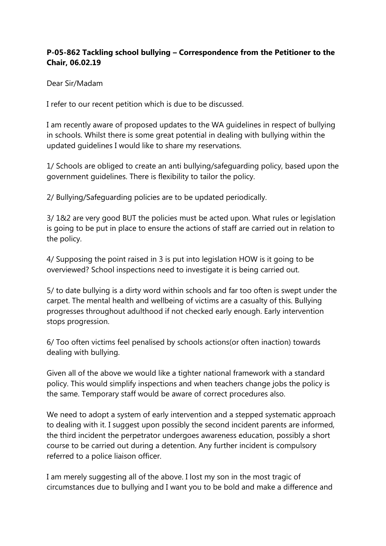## **P-05-862 Tackling school bullying – Correspondence from the Petitioner to the Chair, 06.02.19**

Dear Sir/Madam

I refer to our recent petition which is due to be discussed.

I am recently aware of proposed updates to the WA guidelines in respect of bullying in schools. Whilst there is some great potential in dealing with bullying within the updated guidelines I would like to share my reservations.

1/ Schools are obliged to create an anti bullying/safeguarding policy, based upon the government guidelines. There is flexibility to tailor the policy.

2/ Bullying/Safeguarding policies are to be updated periodically.

3/ 1&2 are very good BUT the policies must be acted upon. What rules or legislation is going to be put in place to ensure the actions of staff are carried out in relation to the policy.

4/ Supposing the point raised in 3 is put into legislation HOW is it going to be overviewed? School inspections need to investigate it is being carried out.

5/ to date bullying is a dirty word within schools and far too often is swept under the carpet. The mental health and wellbeing of victims are a casualty of this. Bullying progresses throughout adulthood if not checked early enough. Early intervention stops progression.

6/ Too often victims feel penalised by schools actions(or often inaction) towards dealing with bullying.

Given all of the above we would like a tighter national framework with a standard policy. This would simplify inspections and when teachers change jobs the policy is the same. Temporary staff would be aware of correct procedures also.

We need to adopt a system of early intervention and a stepped systematic approach to dealing with it. I suggest upon possibly the second incident parents are informed, the third incident the perpetrator undergoes awareness education, possibly a short course to be carried out during a detention. Any further incident is compulsory referred to a police liaison officer.

I am merely suggesting all of the above. I lost my son in the most tragic of circumstances due to bullying and I want you to be bold and make a difference and